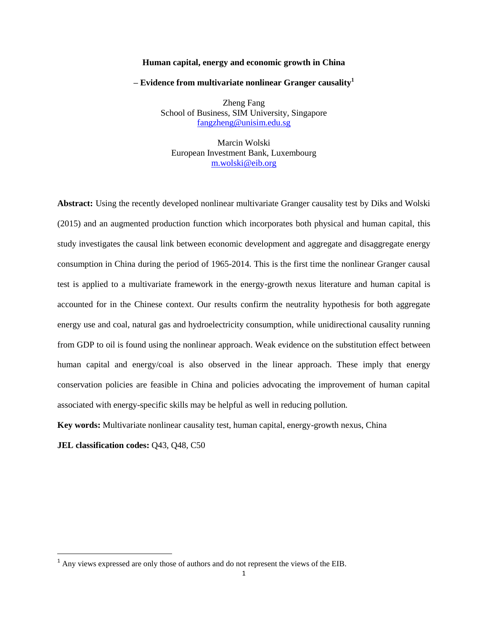#### **Human capital, energy and economic growth in China**

#### **– Evidence from multivariate nonlinear Granger causality<sup>1</sup>**

Zheng Fang School of Business, SIM University, Singapore [fangzheng@unisim.edu.sg](mailto:fangzheng@unisim.edu.sg)

Marcin Wolski European Investment Bank, Luxembourg [m.wolski@eib.org](mailto:m.wolski@eib.org)

**Abstract:** Using the recently developed nonlinear multivariate Granger causality test by Diks and Wolski (2015) and an augmented production function which incorporates both physical and human capital, this study investigates the causal link between economic development and aggregate and disaggregate energy consumption in China during the period of 1965-2014. This is the first time the nonlinear Granger causal test is applied to a multivariate framework in the energy-growth nexus literature and human capital is accounted for in the Chinese context. Our results confirm the neutrality hypothesis for both aggregate energy use and coal, natural gas and hydroelectricity consumption, while unidirectional causality running from GDP to oil is found using the nonlinear approach. Weak evidence on the substitution effect between human capital and energy/coal is also observed in the linear approach. These imply that energy conservation policies are feasible in China and policies advocating the improvement of human capital associated with energy-specific skills may be helpful as well in reducing pollution.

**Key words:** Multivariate nonlinear causality test, human capital, energy-growth nexus, China

**JEL classification codes:** Q43, Q48, C50

 $\overline{\phantom{a}}$ 

<sup>&</sup>lt;sup>1</sup> Any views expressed are only those of authors and do not represent the views of the EIB.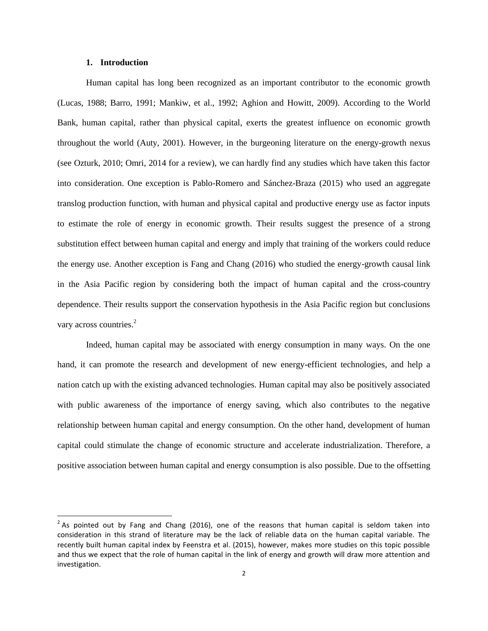#### **1. Introduction**

 $\overline{\phantom{a}}$ 

Human capital has long been recognized as an important contributor to the economic growth (Lucas, 1988; Barro, 1991; Mankiw, et al., 1992; Aghion and Howitt, 2009). According to the World Bank, human capital, rather than physical capital, exerts the greatest influence on economic growth throughout the world (Auty, 2001). However, in the burgeoning literature on the energy-growth nexus (see Ozturk, 2010; Omri, 2014 for a review), we can hardly find any studies which have taken this factor into consideration. One exception is Pablo-Romero and Sánchez-Braza (2015) who used an aggregate translog production function, with human and physical capital and productive energy use as factor inputs to estimate the role of energy in economic growth. Their results suggest the presence of a strong substitution effect between human capital and energy and imply that training of the workers could reduce the energy use. Another exception is Fang and Chang (2016) who studied the energy-growth causal link in the Asia Pacific region by considering both the impact of human capital and the cross-country dependence. Their results support the conservation hypothesis in the Asia Pacific region but conclusions vary across countries.<sup>2</sup>

Indeed, human capital may be associated with energy consumption in many ways. On the one hand, it can promote the research and development of new energy-efficient technologies, and help a nation catch up with the existing advanced technologies. Human capital may also be positively associated with public awareness of the importance of energy saving, which also contributes to the negative relationship between human capital and energy consumption. On the other hand, development of human capital could stimulate the change of economic structure and accelerate industrialization. Therefore, a positive association between human capital and energy consumption is also possible. Due to the offsetting

 $2$  As pointed out by Fang and Chang (2016), one of the reasons that human capital is seldom taken into consideration in this strand of literature may be the lack of reliable data on the human capital variable. The recently built human capital index by Feenstra et al. (2015), however, makes more studies on this topic possible and thus we expect that the role of human capital in the link of energy and growth will draw more attention and investigation.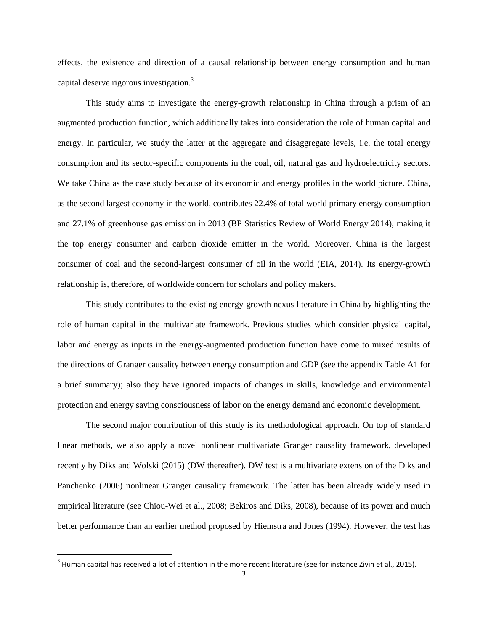effects, the existence and direction of a causal relationship between energy consumption and human capital deserve rigorous investigation.<sup>3</sup>

This study aims to investigate the energy-growth relationship in China through a prism of an augmented production function, which additionally takes into consideration the role of human capital and energy. In particular, we study the latter at the aggregate and disaggregate levels, i.e. the total energy consumption and its sector-specific components in the coal, oil, natural gas and hydroelectricity sectors. We take China as the case study because of its economic and energy profiles in the world picture. China, as the second largest economy in the world, contributes 22.4% of total world primary energy consumption and 27.1% of greenhouse gas emission in 2013 (BP Statistics Review of World Energy 2014), making it the top energy consumer and carbon dioxide emitter in the world. Moreover, China is the largest consumer of coal and the second-largest consumer of oil in the world (EIA, 2014). Its energy-growth relationship is, therefore, of worldwide concern for scholars and policy makers.

This study contributes to the existing energy-growth nexus literature in China by highlighting the role of human capital in the multivariate framework. Previous studies which consider physical capital, labor and energy as inputs in the energy-augmented production function have come to mixed results of the directions of Granger causality between energy consumption and GDP (see the appendix Table A1 for a brief summary); also they have ignored impacts of changes in skills, knowledge and environmental protection and energy saving consciousness of labor on the energy demand and economic development.

The second major contribution of this study is its methodological approach. On top of standard linear methods, we also apply a novel nonlinear multivariate Granger causality framework, developed recently by Diks and Wolski (2015) (DW thereafter). DW test is a multivariate extension of the Diks and Panchenko (2006) nonlinear Granger causality framework. The latter has been already widely used in empirical literature (see Chiou-Wei et al., 2008; Bekiros and Diks, 2008), because of its power and much better performance than an earlier method proposed by Hiemstra and Jones (1994). However, the test has

 $\overline{\phantom{a}}$ 

 $^3$  Human capital has received a lot of attention in the more recent literature (see for instance Zivin et al., 2015).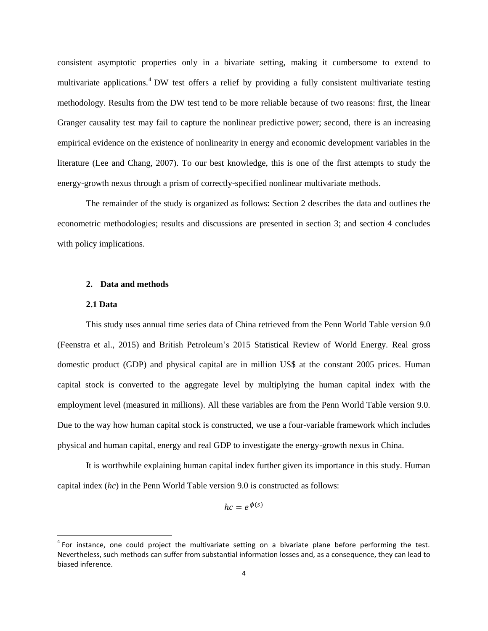consistent asymptotic properties only in a bivariate setting, making it cumbersome to extend to multivariate applications.<sup>4</sup> DW test offers a relief by providing a fully consistent multivariate testing methodology. Results from the DW test tend to be more reliable because of two reasons: first, the linear Granger causality test may fail to capture the nonlinear predictive power; second, there is an increasing empirical evidence on the existence of nonlinearity in energy and economic development variables in the literature (Lee and Chang, 2007). To our best knowledge, this is one of the first attempts to study the energy-growth nexus through a prism of correctly-specified nonlinear multivariate methods.

The remainder of the study is organized as follows: Section 2 describes the data and outlines the econometric methodologies; results and discussions are presented in section 3; and section 4 concludes with policy implications.

# **2. Data and methods**

### **2.1 Data**

 $\overline{\phantom{a}}$ 

This study uses annual time series data of China retrieved from the Penn World Table version 9.0 (Feenstra et al., 2015) and British Petroleum's 2015 Statistical Review of World Energy. Real gross domestic product (GDP) and physical capital are in million US\$ at the constant 2005 prices. Human capital stock is converted to the aggregate level by multiplying the human capital index with the employment level (measured in millions). All these variables are from the Penn World Table version 9.0. Due to the way how human capital stock is constructed, we use a four-variable framework which includes physical and human capital, energy and real GDP to investigate the energy-growth nexus in China.

It is worthwhile explaining human capital index further given its importance in this study. Human capital index (*hc*) in the Penn World Table version 9.0 is constructed as follows:

$$
hc = e^{\phi(s)}
$$

<sup>&</sup>lt;sup>4</sup> For instance, one could project the multivariate setting on a bivariate plane before performing the test. Nevertheless, such methods can suffer from substantial information losses and, as a consequence, they can lead to biased inference.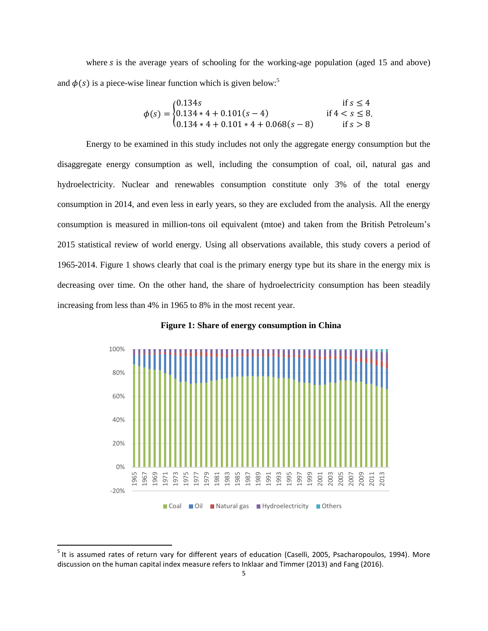where  $s$  is the average years of schooling for the working-age population (aged 15 and above) and  $\phi(s)$  is a piece-wise linear function which is given below:<sup>5</sup>

$$
\phi(s) = \begin{cases} 0.134s & \text{if } s \le 4\\ 0.134 \times 4 + 0.101(s - 4) & \text{if } 4 < s \le 8\\ 0.134 \times 4 + 0.101 \times 4 + 0.068(s - 8) & \text{if } s > 8 \end{cases}
$$

Energy to be examined in this study includes not only the aggregate energy consumption but the disaggregate energy consumption as well, including the consumption of coal, oil, natural gas and hydroelectricity. Nuclear and renewables consumption constitute only 3% of the total energy consumption in 2014, and even less in early years, so they are excluded from the analysis. All the energy consumption is measured in million-tons oil equivalent (mtoe) and taken from the British Petroleum's 2015 statistical review of world energy. Using all observations available, this study covers a period of 1965-2014. Figure 1 shows clearly that coal is the primary energy type but its share in the energy mix is decreasing over time. On the other hand, the share of hydroelectricity consumption has been steadily increasing from less than 4% in 1965 to 8% in the most recent year.



**Figure 1: Share of energy consumption in China**

l

<sup>&</sup>lt;sup>5</sup> It is assumed rates of return vary for different years of education (Caselli, 2005, Psacharopoulos, 1994). More discussion on the human capital index measure refers to Inklaar and Timmer (2013) and Fang (2016).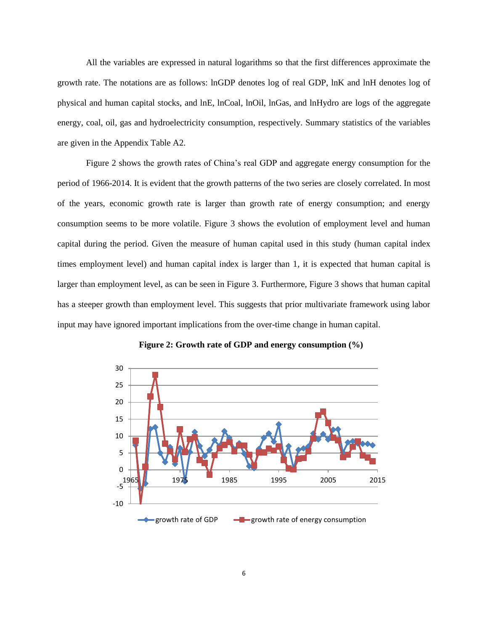All the variables are expressed in natural logarithms so that the first differences approximate the growth rate. The notations are as follows: lnGDP denotes log of real GDP, lnK and lnH denotes log of physical and human capital stocks, and lnE, lnCoal, lnOil, lnGas, and lnHydro are logs of the aggregate energy, coal, oil, gas and hydroelectricity consumption, respectively. Summary statistics of the variables are given in the Appendix Table A2.

Figure 2 shows the growth rates of China's real GDP and aggregate energy consumption for the period of 1966-2014. It is evident that the growth patterns of the two series are closely correlated. In most of the years, economic growth rate is larger than growth rate of energy consumption; and energy consumption seems to be more volatile. Figure 3 shows the evolution of employment level and human capital during the period. Given the measure of human capital used in this study (human capital index times employment level) and human capital index is larger than 1, it is expected that human capital is larger than employment level, as can be seen in Figure 3. Furthermore, Figure 3 shows that human capital has a steeper growth than employment level. This suggests that prior multivariate framework using labor input may have ignored important implications from the over-time change in human capital.



**Figure 2: Growth rate of GDP and energy consumption (%)**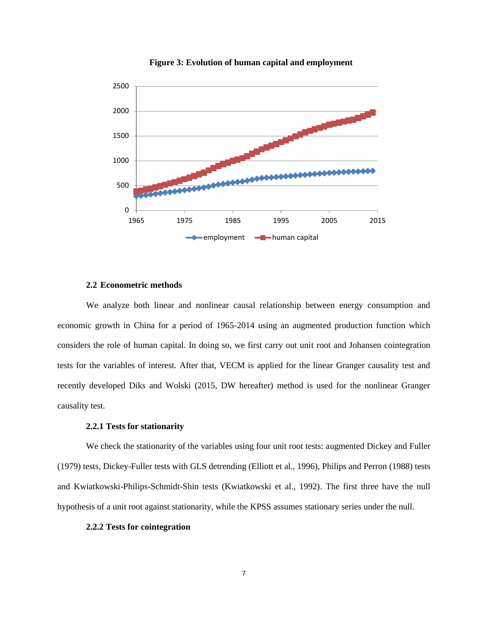

**Figure 3: Evolution of human capital and employment**

### **2.2 Econometric methods**

We analyze both linear and nonlinear causal relationship between energy consumption and economic growth in China for a period of 1965-2014 using an augmented production function which considers the role of human capital. In doing so, we first carry out unit root and Johansen cointegration tests for the variables of interest. After that, VECM is applied for the linear Granger causality test and recently developed Diks and Wolski (2015, DW hereafter) method is used for the nonlinear Granger causality test.

## **2.2.1 Tests for stationarity**

We check the stationarity of the variables using four unit root tests: augmented Dickey and Fuller (1979) tests, Dickey-Fuller tests with GLS detrending (Elliott et al., 1996), Philips and Perron (1988) tests and Kwiatkowski-Philips-Schmidt-Shin tests (Kwiatkowski et al., 1992). The first three have the null hypothesis of a unit root against stationarity, while the KPSS assumes stationary series under the null.

### **2.2.2 Tests for cointegration**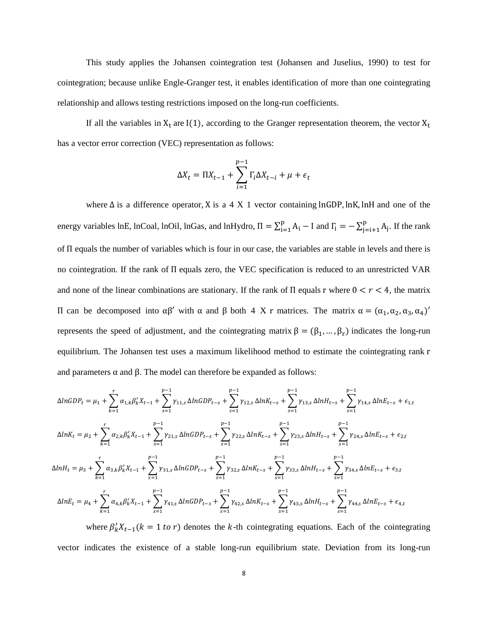This study applies the Johansen cointegration test (Johansen and Juselius, 1990) to test for cointegration; because unlike Engle-Granger test, it enables identification of more than one cointegrating relationship and allows testing restrictions imposed on the long-run coefficients.

If all the variables in  $X_t$  are I(1), according to the Granger representation theorem, the vector  $X_t$ has a vector error correction (VEC) representation as follows:

$$
\Delta X_t = \Pi X_{t-1} + \sum_{i=1}^{p-1} \Gamma_i \Delta X_{t-i} + \mu + \epsilon_t
$$

where  $\Delta$  is a difference operator, X is a 4 X 1 vector containing lnGDP, lnK, lnH and one of the energy variables lnE, lnCoal, lnOil, lnGas, and lnHydro,  $\Pi = \sum_{i=1}^{p} A_i - I$  and  $\Gamma_i = -\sum_{j=i+1}^{p} A_j$  $_{j=i+1}^{p}$  A<sub>j</sub>. If the rank of Π equals the number of variables which is four in our case, the variables are stable in levels and there is no cointegration. If the rank of Π equals zero, the VEC specification is reduced to an unrestricted VAR and none of the linear combinations are stationary. If the rank of  $\Pi$  equals r where  $0 < r < 4$ , the matrix II can be decomposed into  $\alpha\beta'$  with  $\alpha$  and  $\beta$  both 4 X r matrices. The matrix  $\alpha = (\alpha_1, \alpha_2, \alpha_3, \alpha_4)'$ represents the speed of adjustment, and the cointegrating matrix  $\beta = (\beta_1, ..., \beta_r)$  indicates the long-run equilibrium. The Johansen test uses a maximum likelihood method to estimate the cointegrating rank r and parameters  $\alpha$  and  $\beta$ . The model can therefore be expanded as follows:

$$
\Delta lnGDP_t = \mu_1 + \sum_{k=1}^r \alpha_{1,k} \beta'_k X_{t-1} + \sum_{s=1}^{p-1} \gamma_{11,s} \Delta lnGDP_{t-s} + \sum_{s=1}^{p-1} \gamma_{12,s} \Delta lnK_{t-s} + \sum_{s=1}^{p-1} \gamma_{13,s} \Delta lnH_{t-s} + \sum_{s=1}^{p-1} \gamma_{14,s} \Delta lnE_{t-s} + \epsilon_{1,t}
$$
  
\n
$$
\Delta lnK_t = \mu_2 + \sum_{k=1}^r \alpha_{2,k} \beta'_k X_{t-1} + \sum_{s=1}^{p-1} \gamma_{21,s} \Delta lnGDP_{t-s} + \sum_{s=1}^{p-1} \gamma_{22,s} \Delta lnK_{t-s} + \sum_{s=1}^{p-1} \gamma_{23,s} \Delta lnH_{t-s} + \sum_{s=1}^{p-1} \gamma_{24,s} \Delta lnE_{t-s} + \epsilon_{2,t}
$$
  
\n
$$
\Delta lnH_t = \mu_3 + \sum_{k=1}^r \alpha_{3,k} \beta'_k X_{t-1} + \sum_{s=1}^{p-1} \gamma_{31,s} \Delta lnGDP_{t-s} + \sum_{s=1}^{p-1} \gamma_{32,s} \Delta lnK_{t-s} + \sum_{s=1}^{p-1} \gamma_{33,s} \Delta lnH_{t-s} + \sum_{s=1}^{p-1} \gamma_{34,s} \Delta lnE_{t-s} + \epsilon_{3,t}
$$
  
\n
$$
\Delta lnE_t = \mu_4 + \sum_{k=1}^r \alpha_{4,k} \beta'_k X_{t-1} + \sum_{s=1}^{p-1} \gamma_{41,s} \Delta lnGDP_{t-s} + \sum_{s=1}^{p-1} \gamma_{42,s} \Delta lnK_{t-s} + \sum_{s=1}^{p-1} \gamma_{43,s} \Delta lnH_{t-s} + \sum_{s=1}^{p-1} \gamma_{44,s} \Delta lnE_{t-s} + \epsilon_{4,t}
$$

where  $\beta'_k X_{t-1}(k = 1 \text{ to } r)$  denotes the k-th cointegrating equations. Each of the cointegrating vector indicates the existence of a stable long-run equilibrium state. Deviation from its long-run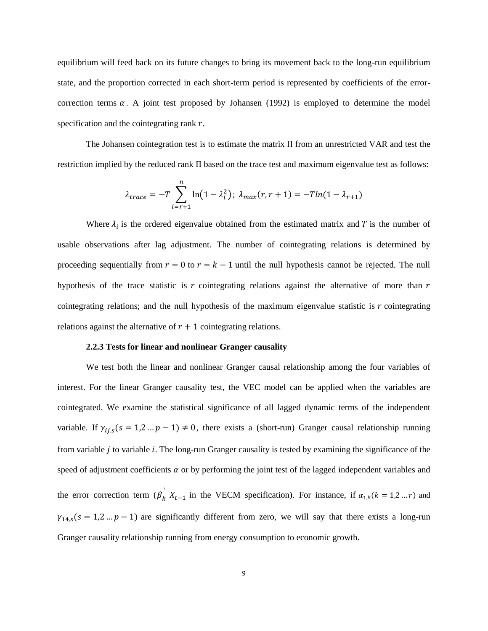equilibrium will feed back on its future changes to bring its movement back to the long-run equilibrium state, and the proportion corrected in each short-term period is represented by coefficients of the errorcorrection terms  $\alpha$ . A joint test proposed by Johansen (1992) is employed to determine the model specification and the cointegrating rank  $r$ .

The Johansen cointegration test is to estimate the matrix Π from an unrestricted VAR and test the restriction implied by the reduced rank Π based on the trace test and maximum eigenvalue test as follows:

$$
\lambda_{trace} = -T \sum_{i=r+1}^{n} \ln(1 - \lambda_i^2); \ \lambda_{max}(r, r+1) = -T \ln(1 - \lambda_{r+1})
$$

Where  $\lambda_i$  is the ordered eigenvalue obtained from the estimated matrix and T is the number of usable observations after lag adjustment. The number of cointegrating relations is determined by proceeding sequentially from  $r = 0$  to  $r = k - 1$  until the null hypothesis cannot be rejected. The null hypothesis of the trace statistic is  $r$  cointegrating relations against the alternative of more than  $r$ cointegrating relations; and the null hypothesis of the maximum eigenvalue statistic is  $r$  cointegrating relations against the alternative of  $r + 1$  cointegrating relations.

#### **2.2.3 Tests for linear and nonlinear Granger causality**

We test both the linear and nonlinear Granger causal relationship among the four variables of interest. For the linear Granger causality test, the VEC model can be applied when the variables are cointegrated. We examine the statistical significance of all lagged dynamic terms of the independent variable. If  $\gamma_{i,j,s}(s = 1,2...p-1) \neq 0$ , there exists a (short-run) Granger causal relationship running from variable  $i$  to variable  $i$ . The long-run Granger causality is tested by examining the significance of the speed of adjustment coefficients  $\alpha$  or by performing the joint test of the lagged independent variables and the error correction term  $(\beta_k^{'} X_{t-1}$  in the VECM specification). For instance, if  $\alpha_{1,k}(k = 1,2...r)$  and  $\gamma_{14,s}(s = 1, 2, \ldots, p-1)$  are significantly different from zero, we will say that there exists a long-run Granger causality relationship running from energy consumption to economic growth.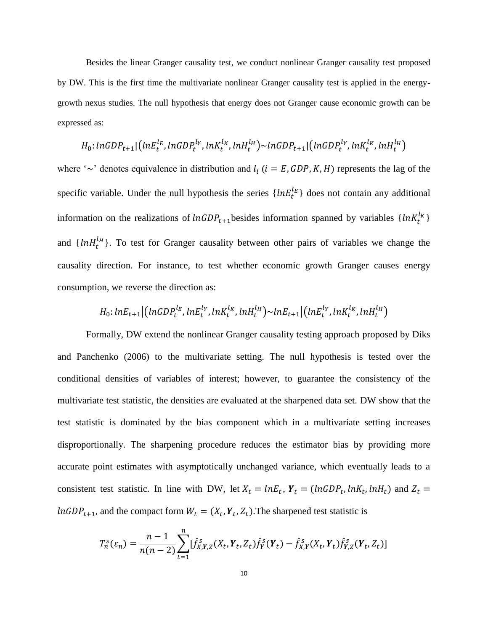Besides the linear Granger causality test, we conduct nonlinear Granger causality test proposed by DW. This is the first time the multivariate nonlinear Granger causality test is applied in the energygrowth nexus studies. The null hypothesis that energy does not Granger cause economic growth can be expressed as:

$$
H_0
$$
:  $\ln GDP_{t+1}[(nE_t^{l_E}, \ln GDP_t^{l_Y}, \ln K_t^{l_K}, \ln H_t^{l_H}) \sim \ln GDP_{t+1}[(nGDP_t^{l_Y}, \ln K_t^{l_K}, \ln H_t^{l_H})]$ 

where ' $\sim$ ' denotes equivalence in distribution and  $l_i$  ( $i = E$ , GDP, K, H) represents the lag of the specific variable. Under the null hypothesis the series  $\{lnE_t^{l_E}\}\$  does not contain any additional information on the realizations of  $ln GDP_{t+1}$  besides information spanned by variables  $\{lnK_t^{l_K}\}$ and  $\{lnH_t^{\ell_H}\}\$ . To test for Granger causality between other pairs of variables we change the causality direction. For instance, to test whether economic growth Granger causes energy consumption, we reverse the direction as:

$$
H_0: lnE_{t+1} | (lnGDP_t^{l_E}, lnE_t^{l_Y}, lnK_t^{l_K}, lnH_t^{l_H}) \sim lnE_{t+1} | (lnE_t^{l_Y}, lnK_t^{l_K}, lnH_t^{l_H})
$$

Formally, DW extend the nonlinear Granger causality testing approach proposed by Diks and Panchenko (2006) to the multivariate setting. The null hypothesis is tested over the conditional densities of variables of interest; however, to guarantee the consistency of the multivariate test statistic, the densities are evaluated at the sharpened data set. DW show that the test statistic is dominated by the bias component which in a multivariate setting increases disproportionally. The sharpening procedure reduces the estimator bias by providing more accurate point estimates with asymptotically unchanged variance, which eventually leads to a consistent test statistic. In line with DW, let  $X_t = lnE_t$ ,  $Y_t = (lnGDP_t, lnK_t, lnH_t)$  and  $Z_t =$  $ln GDP_{t+1}$ , and the compact form  $W_t = (X_t, Y_t, Z_t)$ . The sharpened test statistic is

$$
T_n^s(\varepsilon_n) = \frac{n-1}{n(n-2)} \sum_{t=1}^n [\hat{f}_{X,Y,Z}^s(X_t, Y_t, Z_t) \hat{f}_Y^s(Y_t) - \hat{f}_{X,Y}^s(X_t, Y_t) \hat{f}_{Y,Z}^s(Y_t, Z_t)]
$$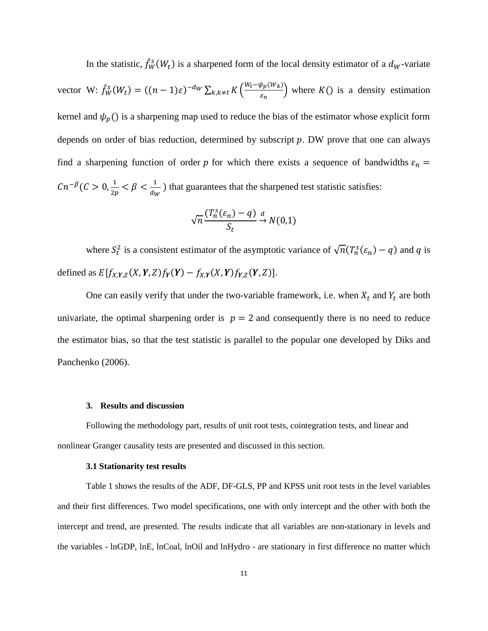In the statistic,  $\hat{f}_W^s(W_t)$  is a sharpened form of the local density estimator of a  $d_W$ -variate vector W:  $\hat{f}_W^s(W_t) = ((n-1)\varepsilon)^{-d_W} \sum_{k,k \neq t} K\left(\frac{W_t - \psi_p(W_k)}{\varepsilon}\right)$  $k, k \neq t$   $K\left(\frac{wt - \psi p(w, k)}{\varepsilon_n}\right)$  where  $K()$  is a density estimation kernel and  $\psi_p$ () is a sharpening map used to reduce the bias of the estimator whose explicit form depends on order of bias reduction, determined by subscript  $p$ . DW prove that one can always find a sharpening function of order p for which there exists a sequence of bandwidths  $\varepsilon_n$  =  $Cn^{-\beta}$  (C > 0,  $\frac{1}{2}$  $\frac{1}{2p} < \beta < \frac{1}{d_V}$  $\frac{1}{dw}$ ) that guarantees that the sharpened test statistic satisfies:

$$
\sqrt{n}\frac{(T_n^s(\varepsilon_n)-q)}{S_t}\xrightarrow{d} N(0,1)
$$

where  $S_t^2$  is a consistent estimator of the asymptotic variance of  $\sqrt{n}(T_n^s(\varepsilon_n) - q)$  and q is defined as  $E[f_{X,Y,Z}(X, Y, Z) f_Y(Y) - f_{X,Y}(X, Y) f_{Y,Z}(Y, Z)].$ 

One can easily verify that under the two-variable framework, i.e. when  $X_t$  and  $Y_t$  are both univariate, the optimal sharpening order is  $p = 2$  and consequently there is no need to reduce the estimator bias, so that the test statistic is parallel to the popular one developed by Diks and Panchenko (2006).

## **3. Results and discussion**

Following the methodology part, results of unit root tests, cointegration tests, and linear and nonlinear Granger causality tests are presented and discussed in this section.

#### **3.1 Stationarity test results**

Table 1 shows the results of the ADF, DF-GLS, PP and KPSS unit root tests in the level variables and their first differences. Two model specifications, one with only intercept and the other with both the intercept and trend, are presented. The results indicate that all variables are non-stationary in levels and the variables - lnGDP, lnE, lnCoal, lnOil and lnHydro - are stationary in first difference no matter which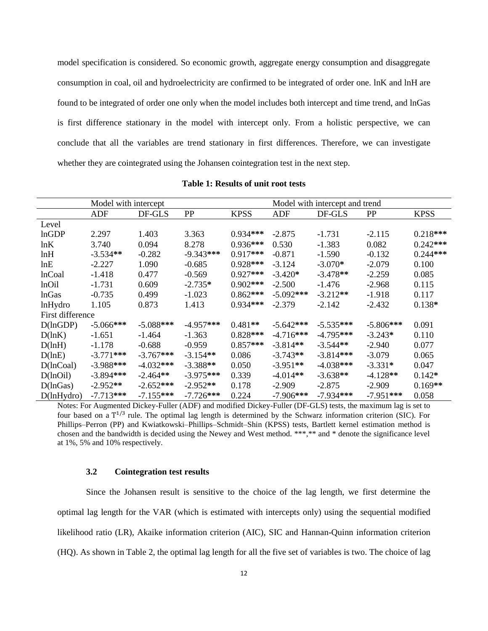model specification is considered. So economic growth, aggregate energy consumption and disaggregate consumption in coal, oil and hydroelectricity are confirmed to be integrated of order one. lnK and lnH are found to be integrated of order one only when the model includes both intercept and time trend, and lnGas is first difference stationary in the model with intercept only. From a holistic perspective, we can conclude that all the variables are trend stationary in first differences. Therefore, we can investigate whether they are cointegrated using the Johansen cointegration test in the next step.

|                  | Model with intercept |             |             |             | Model with intercept and trend |             |             |             |  |
|------------------|----------------------|-------------|-------------|-------------|--------------------------------|-------------|-------------|-------------|--|
|                  | ADF                  | DF-GLS      | PP          | <b>KPSS</b> | ADF                            | DF-GLS      | PP          | <b>KPSS</b> |  |
| Level            |                      |             |             |             |                                |             |             |             |  |
| lnGDP            | 2.297                | 1.403       | 3.363       | $0.934***$  | $-2.875$                       | $-1.731$    | $-2.115$    | $0.218***$  |  |
| lnK              | 3.740                | 0.094       | 8.278       | $0.936***$  | 0.530                          | $-1.383$    | 0.082       | $0.242***$  |  |
| lnH              | $-3.534**$           | $-0.282$    | $-9.343***$ | $0.917***$  | $-0.871$                       | $-1.590$    | $-0.132$    | $0.244***$  |  |
| lnE              | $-2.227$             | 1.090       | $-0.685$    | $0.928***$  | $-3.124$                       | $-3.070*$   | $-2.079$    | 0.100       |  |
| <b>lnCoal</b>    | $-1.418$             | 0.477       | $-0.569$    | $0.927***$  | $-3.420*$                      | $-3.478**$  | $-2.259$    | 0.085       |  |
| lnOil            | $-1.731$             | 0.609       | $-2.735*$   | $0.902$ *** | $-2.500$                       | $-1.476$    | $-2.968$    | 0.115       |  |
| <b>lnGas</b>     | $-0.735$             | 0.499       | $-1.023$    | $0.862***$  | $-5.092$ ***                   | $-3.212**$  | $-1.918$    | 0.117       |  |
| lnHydro          | 1.105                | 0.873       | 1.413       | $0.934***$  | $-2.379$                       | $-2.142$    | $-2.432$    | $0.138*$    |  |
| First difference |                      |             |             |             |                                |             |             |             |  |
| D(lnGDP)         | $-5.066***$          | $-5.088***$ | $-4.957***$ | $0.481**$   | $-5.642***$                    | $-5.535***$ | $-5.806***$ | 0.091       |  |
| D(lnK)           | $-1.651$             | -1.464      | $-1.363$    | $0.828***$  | $-4.716***$                    | $-4.795***$ | $-3.243*$   | 0.110       |  |
| D(lnH)           | $-1.178$             | $-0.688$    | $-0.959$    | $0.857***$  | $-3.814**$                     | $-3.544**$  | $-2.940$    | 0.077       |  |
| D(lnE)           | $-3.771***$          | $-3.767***$ | $-3.154**$  | 0.086       | $-3.743**$                     | $-3.814***$ | $-3.079$    | 0.065       |  |
| $D($ lnCoal $)$  | $-3.988***$          | $-4.032***$ | $-3.388**$  | 0.050       | $-3.951**$                     | $-4.038***$ | $-3.331*$   | 0.047       |  |
| D(lnOil)         | $-3.894***$          | $-2.464**$  | $-3.975***$ | 0.339       | $-4.014**$                     | $-3.638**$  | $-4.128**$  | $0.142*$    |  |
| D(lnGas)         | $-2.952**$           | $-2.652***$ | $-2.952**$  | 0.178       | $-2.909$                       | $-2.875$    | $-2.909$    | $0.169**$   |  |
| D(lnHydro)       | $-7.713***$          | $-7.155***$ | $-7.726***$ | 0.224       | $-7.906***$                    | $-7.934***$ | $-7.951***$ | 0.058       |  |

**Table 1: Results of unit root tests**

Notes: For Augmented Dickey-Fuller (ADF) and modified Dickey-Fuller (DF-GLS) tests, the maximum lag is set to four based on a  $T^{1/3}$  rule. The optimal lag length is determined by the Schwarz information criterion (SIC). For Phillips–Perron (PP) and Kwiatkowski–Phillips–Schmidt–Shin (KPSS) tests, Bartlett kernel estimation method is chosen and the bandwidth is decided using the Newey and West method. \*\*\*,\*\* and \* denote the significance level at 1%, 5% and 10% respectively.

#### **3.2 Cointegration test results**

Since the Johansen result is sensitive to the choice of the lag length, we first determine the optimal lag length for the VAR (which is estimated with intercepts only) using the sequential modified likelihood ratio (LR), Akaike information criterion (AIC), SIC and Hannan-Quinn information criterion (HQ). As shown in Table 2, the optimal lag length for all the five set of variables is two. The choice of lag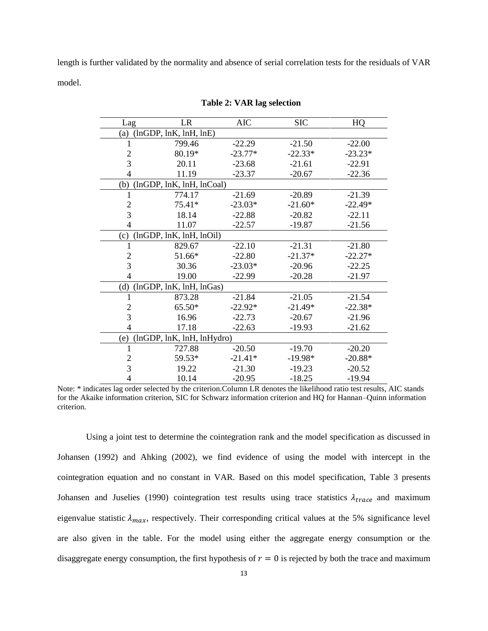length is further validated by the normality and absence of serial correlation tests for the residuals of VAR model.

| Lag            | LR                         | <b>AIC</b> | <b>SIC</b> | HQ        |
|----------------|----------------------------|------------|------------|-----------|
| (a)            | (lnGDP, lnK, lnH, lnE)     |            |            |           |
|                | 799.46                     | $-22.29$   | $-21.50$   | $-22.00$  |
| $\overline{c}$ | 80.19*                     | $-23.77*$  | $-22.33*$  | $-23.23*$ |
| 3              | 20.11                      | $-23.68$   | $-21.61$   | $-22.91$  |
| 4              | 11.19                      | $-23.37$   | $-20.67$   | $-22.36$  |
| (b)            | (lnGDP, lnK, lnH, lnCoal)  |            |            |           |
| 1              | 774.17                     | $-21.69$   | $-20.89$   | $-21.39$  |
| $\overline{c}$ | 75.41*                     | $-23.03*$  | $-21.60*$  | $-22.49*$ |
| 3              | 18.14                      | $-22.88$   | $-20.82$   | $-22.11$  |
| 4              | 11.07                      | $-22.57$   | $-19.87$   | $-21.56$  |
| (c)            | (lnGDP, lnK, lnH, lnOil)   |            |            |           |
| 1              | 829.67                     | $-22.10$   | $-21.31$   | $-21.80$  |
| $\overline{c}$ | 51.66*                     | $-22.80$   | $-21.37*$  | $-22.27*$ |
| 3              | 30.36                      | $-23.03*$  | $-20.96$   | $-22.25$  |
| 4              | 19.00                      | $-22.99$   | $-20.28$   | $-21.97$  |
| (d)            | (lnGDP, lnK, lnH, lnGas)   |            |            |           |
| 1              | 873.28                     | $-21.84$   | $-21.05$   | $-21.54$  |
| 2              | 65.50*                     | $-22.92*$  | $-21.49*$  | $-22.38*$ |
| $\overline{3}$ | 16.96                      | $-22.73$   | $-20.67$   | $-21.96$  |
| 4              | 17.18                      | $-22.63$   | $-19.93$   | $-21.62$  |
| (e)            | (lnGDP, lnK, lnH, lnHydro) |            |            |           |
|                | 727.88                     | $-20.50$   | $-19.70$   | $-20.20$  |
| $\overline{c}$ | 59.53*                     | $-21.41*$  | $-19.98*$  | $-20.88*$ |
| 3              | 19.22                      | $-21.30$   | $-19.23$   | $-20.52$  |
| 4              | 10.14                      | $-20.95$   | $-18.25$   | $-19.94$  |

**Table 2: VAR lag selection**

Note: \* indicates lag order selected by the criterion.Column LR denotes the likelihood ratio test results, AIC stands for the Akaike information criterion, SIC for Schwarz information criterion and HQ for Hannan–Quinn information criterion.

Using a joint test to determine the cointegration rank and the model specification as discussed in Johansen (1992) and Ahking (2002), we find evidence of using the model with intercept in the cointegration equation and no constant in VAR. Based on this model specification, Table 3 presents Johansen and Juselies (1990) cointegration test results using trace statistics  $\lambda_{trace}$  and maximum eigenvalue statistic  $\lambda_{max}$ , respectively. Their corresponding critical values at the 5% significance level are also given in the table. For the model using either the aggregate energy consumption or the disaggregate energy consumption, the first hypothesis of  $r = 0$  is rejected by both the trace and maximum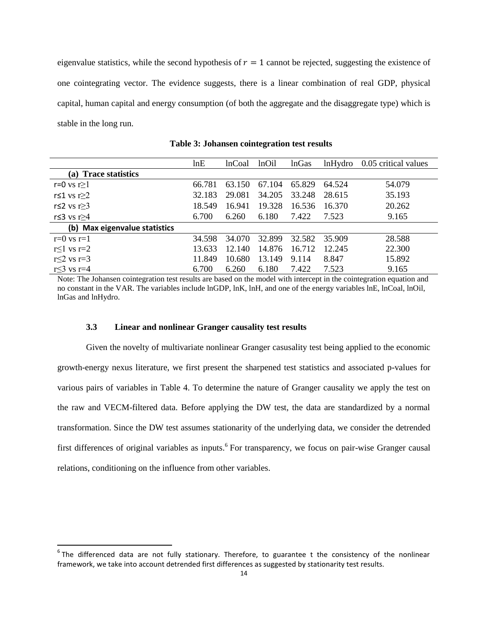eigenvalue statistics, while the second hypothesis of  $r = 1$  cannot be rejected, suggesting the existence of one cointegrating vector. The evidence suggests, there is a linear combination of real GDP, physical capital, human capital and energy consumption (of both the aggregate and the disaggregate type) which is stable in the long run.

|                               | lnE    | <b>lnCoal</b> | lnOil  | <b>lnGas</b> | lnHydro | 0.05 critical values |
|-------------------------------|--------|---------------|--------|--------------|---------|----------------------|
| (a) Trace statistics          |        |               |        |              |         |                      |
| r=0 vs r $\geq$ 1             | 66.781 | 63.150        | 67.104 | 65.829       | 64.524  | 54.079               |
| r≤1 vs r $≥2$                 | 32.183 | 29.081        | 34.205 | 33.248       | 28.615  | 35.193               |
| r $\leq$ 2 vs r $\geq$ 3      | 18.549 | 16.941        | 19.328 | 16.536       | 16.370  | 20.262               |
| r≤3 vs r≥4                    | 6.700  | 6.260         | 6.180  | 7.422        | 7.523   | 9.165                |
| (b) Max eigenvalue statistics |        |               |        |              |         |                      |
| $r=0$ vs $r=1$                | 34.598 | 34.070        | 32.899 | 32.582       | 35.909  | 28.588               |
| r $\leq$ 1 vs r=2             | 13.633 | 12.140        | 14.876 | 16.712       | 12.245  | 22.300               |
| r $\leq$ 2 vs r=3             | 11.849 | 10.680        | 13.149 | 9.114        | 8.847   | 15.892               |
| $r<3$ vs $r=4$                | 6.700  | 6.260         | 6.180  | 7.422        | 7.523   | 9.165                |

**Table 3: Johansen cointegration test results**

Note: The Johansen cointegration test results are based on the model with intercept in the cointegration equation and no constant in the VAR. The variables include lnGDP, lnK, lnH, and one of the energy variables lnE, lnCoal, lnOil, lnGas and lnHydro.

#### **3.3 Linear and nonlinear Granger causality test results**

l

Given the novelty of multivariate nonlinear Granger casusality test being applied to the economic growth-energy nexus literature, we first present the sharpened test statistics and associated p-values for various pairs of variables in Table 4. To determine the nature of Granger causality we apply the test on the raw and VECM-filtered data. Before applying the DW test, the data are standardized by a normal transformation. Since the DW test assumes stationarity of the underlying data, we consider the detrended first differences of original variables as inputs.<sup>6</sup> For transparency, we focus on pair-wise Granger causal relations, conditioning on the influence from other variables.

 $<sup>6</sup>$ The differenced data are not fully stationary. Therefore, to guarantee t the consistency of the nonlinear</sup> framework, we take into account detrended first differences as suggested by stationarity test results.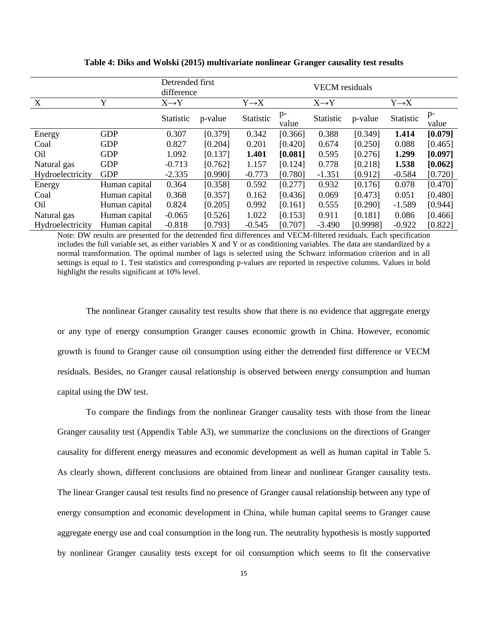|                  |               | Detrended first   |         |                   | <b>VECM</b> residuals |                   |          |                   |               |
|------------------|---------------|-------------------|---------|-------------------|-----------------------|-------------------|----------|-------------------|---------------|
|                  |               | difference        |         |                   |                       |                   |          |                   |               |
| $\mathbf{X}$     | Y             | $X \rightarrow Y$ |         | $Y \rightarrow X$ |                       | $X \rightarrow Y$ |          | $Y \rightarrow X$ |               |
|                  |               | Statistic         | p-value | Statistic         | $p-$<br>value         | Statistic         | p-value  | Statistic         | $p-$<br>value |
| Energy           | <b>GDP</b>    | 0.307             | [0.379] | 0.342             | [0.366]               | 0.388             | [0.349]  | 1.414             | [0.079]       |
| Coal             | <b>GDP</b>    | 0.827             | [0.204] | 0.201             | [0.420]               | 0.674             | [0.250]  | 0.088             | [0.465]       |
| Oil              | <b>GDP</b>    | 1.092             | [0.137] | 1.401             | [0.081]               | 0.595             | [0.276]  | 1.299             | [0.097]       |
| Natural gas      | <b>GDP</b>    | $-0.713$          | [0.762] | 1.157             | [0.124]               | 0.778             | [0.218]  | 1.538             | [0.062]       |
| Hydroelectricity | <b>GDP</b>    | $-2.335$          | [0.990] | $-0.773$          | [0.780]               | $-1.351$          | [0.912]  | $-0.584$          | [0.720]       |
| Energy           | Human capital | 0.364             | [0.358] | 0.592             | [0.277]               | 0.932             | [0.176]  | 0.078             | [0.470]       |
| Coal             | Human capital | 0.368             | [0.357] | 0.162             | [0.436]               | 0.069             | [0.473]  | 0.051             | [0.480]       |
| O <sub>il</sub>  | Human capital | 0.824             | [0.205] | 0.992             | [0.161]               | 0.555             | [0.290]  | $-1.589$          | [0.944]       |
| Natural gas      | Human capital | $-0.065$          | [0.526] | 1.022             | [0.153]               | 0.911             | [0.181]  | 0.086             | [0.466]       |
| Hydroelectricity | Human capital | $-0.818$          | [0.793] | $-0.545$          | [0.707]               | $-3.490$          | [0.9998] | $-0.922$          | [0.822]       |

**Table 4: Diks and Wolski (2015) multivariate nonlinear Granger causality test results**

Note: DW results are presented for the detrended first differences and VECM-filtered residuals. Each specification includes the full variable set, as either variables X and Y or as conditioning variables. The data are standardized by a normal transformation. The optimal number of lags is selected using the Schwarz information criterion and in all settings is equal to 1. Test statistics and corresponding p-values are reported in respective columns. Values in bold highlight the results significant at 10% level.

The nonlinear Granger causality test results show that there is no evidence that aggregate energy or any type of energy consumption Granger causes economic growth in China. However, economic growth is found to Granger cause oil consumption using either the detrended first difference or VECM residuals. Besides, no Granger causal relationship is observed between energy consumption and human capital using the DW test.

To compare the findings from the nonlinear Granger causality tests with those from the linear Granger causality test (Appendix Table A3), we summarize the conclusions on the directions of Granger causality for different energy measures and economic development as well as human capital in Table 5. As clearly shown, different conclusions are obtained from linear and nonlinear Granger causality tests. The linear Granger causal test results find no presence of Granger causal relationship between any type of energy consumption and economic development in China, while human capital seems to Granger cause aggregate energy use and coal consumption in the long run. The neutrality hypothesis is mostly supported by nonlinear Granger causality tests except for oil consumption which seems to fit the conservative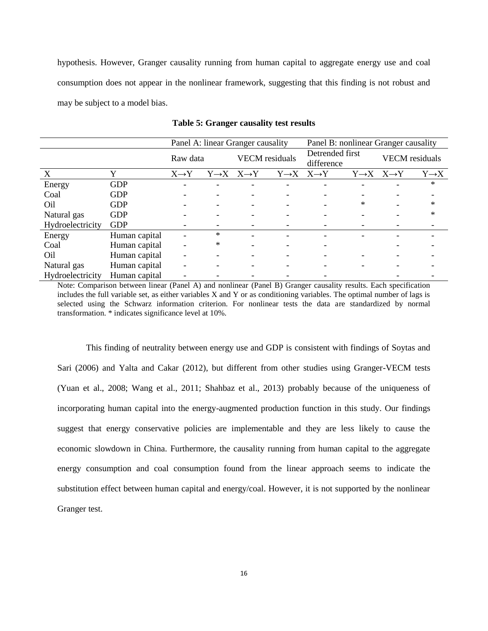hypothesis. However, Granger causality running from human capital to aggregate energy use and coal consumption does not appear in the nonlinear framework, suggesting that this finding is not robust and may be subject to a model bias.

|                  |               |                   |          | Panel A: linear Granger causality       |                       | Panel B: nonlinear Granger causality    |                               |                                         |                   |
|------------------|---------------|-------------------|----------|-----------------------------------------|-----------------------|-----------------------------------------|-------------------------------|-----------------------------------------|-------------------|
|                  |               |                   | Raw data |                                         | <b>VECM</b> residuals |                                         | Detrended first<br>difference | <b>VECM</b> residuals                   |                   |
| X                | Y             | $X \rightarrow Y$ |          | $Y \rightarrow X \quad X \rightarrow Y$ |                       | $Y \rightarrow X \quad X \rightarrow Y$ |                               | $Y \rightarrow X \quad X \rightarrow Y$ | $Y \rightarrow X$ |
| Energy           | <b>GDP</b>    |                   |          |                                         |                       |                                         |                               |                                         | $\ast$            |
| Coal             | <b>GDP</b>    |                   |          |                                         |                       |                                         |                               |                                         |                   |
| Oil              | <b>GDP</b>    |                   |          |                                         |                       |                                         | *                             |                                         | ∗                 |
| Natural gas      | <b>GDP</b>    |                   |          |                                         |                       |                                         |                               |                                         | ∗                 |
| Hydroelectricity | <b>GDP</b>    |                   |          |                                         |                       |                                         |                               |                                         |                   |
| Energy           | Human capital |                   | $\ast$   |                                         |                       |                                         |                               |                                         |                   |
| Coal             | Human capital |                   | $\ast$   |                                         |                       |                                         |                               |                                         |                   |
| Oil              | Human capital |                   |          |                                         |                       |                                         |                               |                                         |                   |
| Natural gas      | Human capital |                   |          |                                         |                       |                                         |                               |                                         |                   |
| Hydroelectricity | Human capital |                   |          |                                         |                       |                                         |                               |                                         |                   |

**Table 5: Granger causality test results**

Note: Comparison between linear (Panel A) and nonlinear (Panel B) Granger causality results. Each specification includes the full variable set, as either variables X and Y or as conditioning variables. The optimal number of lags is selected using the Schwarz information criterion. For nonlinear tests the data are standardized by normal transformation. \* indicates significance level at 10%.

This finding of neutrality between energy use and GDP is consistent with findings of Soytas and Sari (2006) and Yalta and Cakar (2012), but different from other studies using Granger-VECM tests (Yuan et al., 2008; Wang et al., 2011; Shahbaz et al., 2013) probably because of the uniqueness of incorporating human capital into the energy-augmented production function in this study. Our findings suggest that energy conservative policies are implementable and they are less likely to cause the economic slowdown in China. Furthermore, the causality running from human capital to the aggregate energy consumption and coal consumption found from the linear approach seems to indicate the substitution effect between human capital and energy/coal. However, it is not supported by the nonlinear Granger test.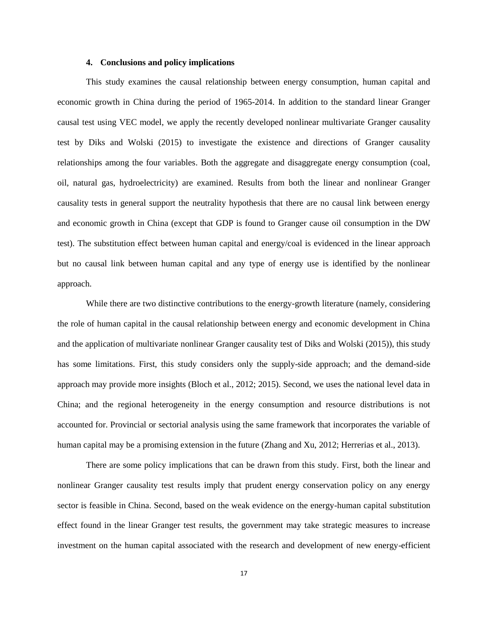### **4. Conclusions and policy implications**

This study examines the causal relationship between energy consumption, human capital and economic growth in China during the period of 1965-2014. In addition to the standard linear Granger causal test using VEC model, we apply the recently developed nonlinear multivariate Granger causality test by Diks and Wolski (2015) to investigate the existence and directions of Granger causality relationships among the four variables. Both the aggregate and disaggregate energy consumption (coal, oil, natural gas, hydroelectricity) are examined. Results from both the linear and nonlinear Granger causality tests in general support the neutrality hypothesis that there are no causal link between energy and economic growth in China (except that GDP is found to Granger cause oil consumption in the DW test). The substitution effect between human capital and energy/coal is evidenced in the linear approach but no causal link between human capital and any type of energy use is identified by the nonlinear approach.

While there are two distinctive contributions to the energy-growth literature (namely, considering the role of human capital in the causal relationship between energy and economic development in China and the application of multivariate nonlinear Granger causality test of Diks and Wolski (2015)), this study has some limitations. First, this study considers only the supply-side approach; and the demand-side approach may provide more insights (Bloch et al., 2012; 2015). Second, we uses the national level data in China; and the regional heterogeneity in the energy consumption and resource distributions is not accounted for. Provincial or sectorial analysis using the same framework that incorporates the variable of human capital may be a promising extension in the future (Zhang and Xu, 2012; Herrerias et al., 2013).

There are some policy implications that can be drawn from this study. First, both the linear and nonlinear Granger causality test results imply that prudent energy conservation policy on any energy sector is feasible in China. Second, based on the weak evidence on the energy-human capital substitution effect found in the linear Granger test results, the government may take strategic measures to increase investment on the human capital associated with the research and development of new energy-efficient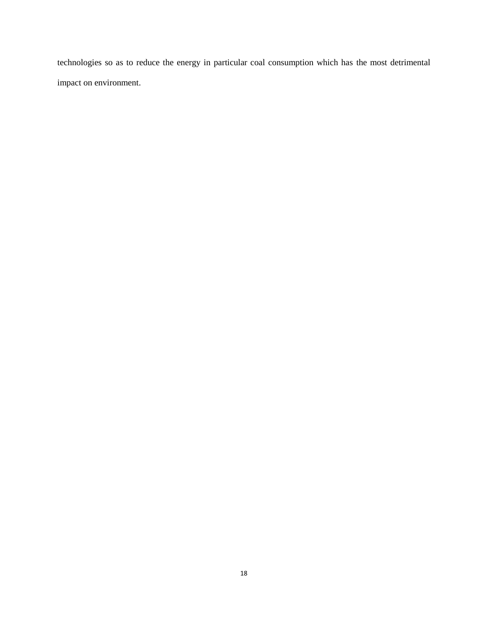technologies so as to reduce the energy in particular coal consumption which has the most detrimental impact on environment.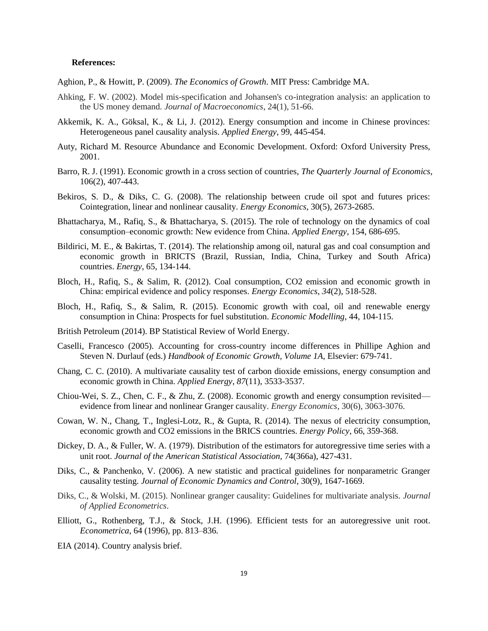#### **References:**

Aghion, P., & Howitt, P. (2009). *The Economics of Growth*. MIT Press: Cambridge MA.

- Ahking, F. W. (2002). Model mis-specification and Johansen's co-integration analysis: an application to the US money demand. *Journal of Macroeconomics*, 24(1), 51-66.
- Akkemik, K. A., Göksal, K., & Li, J. (2012). Energy consumption and income in Chinese provinces: Heterogeneous panel causality analysis. *Applied Energy*, 99, 445-454.
- Auty, Richard M. Resource Abundance and Economic Development. Oxford: Oxford University Press, 2001.
- Barro, R. J. (1991). Economic growth in a cross section of countries, *The Quarterly Journal of Economics*, 106(2), 407-443.
- Bekiros, S. D., & Diks, C. G. (2008). The relationship between crude oil spot and futures prices: Cointegration, linear and nonlinear causality. *Energy Economics*, 30(5), 2673-2685.
- Bhattacharya, M., Rafiq, S., & Bhattacharya, S. (2015). The role of technology on the dynamics of coal consumption–economic growth: New evidence from China. *Applied Energy*, 154, 686-695.
- Bildirici, M. E., & Bakirtas, T. (2014). The relationship among oil, natural gas and coal consumption and economic growth in BRICTS (Brazil, Russian, India, China, Turkey and South Africa) countries. *Energy*, 65, 134-144.
- Bloch, H., Rafiq, S., & Salim, R. (2012). Coal consumption, CO2 emission and economic growth in China: empirical evidence and policy responses. *Energy Economics*, *34*(2), 518-528.
- Bloch, H., Rafiq, S., & Salim, R. (2015). Economic growth with coal, oil and renewable energy consumption in China: Prospects for fuel substitution. *Economic Modelling*, 44, 104-115.
- British Petroleum (2014). BP Statistical Review of World Energy.
- Caselli, Francesco (2005). Accounting for cross-country income differences in Phillipe Aghion and Steven N. Durlauf (eds.) *Handbook of Economic Growth, Volume 1A*, Elsevier: 679-741.
- Chang, C. C. (2010). A multivariate causality test of carbon dioxide emissions, energy consumption and economic growth in China. *Applied Energy*, *87*(11), 3533-3537.
- Chiou-Wei, S. Z., Chen, C. F., & Zhu, Z. (2008). Economic growth and energy consumption revisited evidence from linear and nonlinear Granger causality. *Energy Economics*, 30(6), 3063-3076.
- Cowan, W. N., Chang, T., Inglesi-Lotz, R., & Gupta, R. (2014). The nexus of electricity consumption, economic growth and CO2 emissions in the BRICS countries. *Energy Policy*, 66, 359-368.
- Dickey, D. A., & Fuller, W. A. (1979). Distribution of the estimators for autoregressive time series with a unit root. *Journal of the American Statistical Association*, 74(366a), 427-431.
- Diks, C., & Panchenko, V. (2006). A new statistic and practical guidelines for nonparametric Granger causality testing. *Journal of Economic Dynamics and Control*, 30(9), 1647-1669.
- Diks, C., & Wolski, M. (2015). Nonlinear granger causality: Guidelines for multivariate analysis. *Journal of Applied Econometrics*.
- Elliott, G., Rothenberg, T.J., & Stock, J.H. (1996). Efficient tests for an autoregressive unit root. *Econometrica*, 64 (1996), pp. 813–836.
- EIA (2014). Country analysis brief.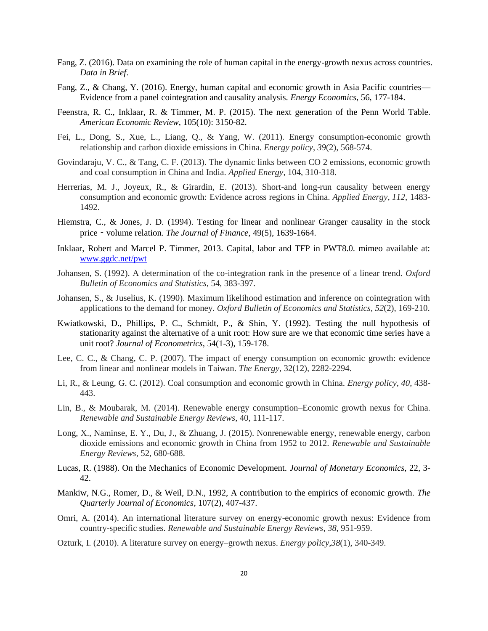- Fang, Z. (2016). Data on examining the role of human capital in the energy-growth nexus across countries. *Data in Brief*.
- Fang, Z., & Chang, Y. (2016). Energy, human capital and economic growth in Asia Pacific countries— Evidence from a panel cointegration and causality analysis. *Energy Economics*, 56, 177-184.
- Feenstra, R. C., Inklaar, R. & Timmer, M. P. (2015). The next generation of the Penn World Table. *American Economic Review*, 105(10): 3150-82.
- Fei, L., Dong, S., Xue, L., Liang, Q., & Yang, W. (2011). Energy consumption-economic growth relationship and carbon dioxide emissions in China. *Energy policy*, *39*(2), 568-574.
- Govindaraju, V. C., & Tang, C. F. (2013). The dynamic links between CO 2 emissions, economic growth and coal consumption in China and India. *Applied Energy*, 104, 310-318.
- Herrerias, M. J., Joyeux, R., & Girardin, E. (2013). Short-and long-run causality between energy consumption and economic growth: Evidence across regions in China. *Applied Energy*, *112*, 1483- 1492.
- Hiemstra, C., & Jones, J. D. (1994). Testing for linear and nonlinear Granger causality in the stock price - volume relation. *The Journal of Finance*, 49(5), 1639-1664.
- Inklaar, Robert and Marcel P. Timmer, 2013. Capital, labor and TFP in PWT8.0. mimeo available at: [www.ggdc.net/pwt](http://www.ggdc.net/pwt)
- Johansen, S. (1992). A determination of the co-integration rank in the presence of a linear trend. *Oxford Bulletin of Economics and Statistics*, 54, 383-397.
- Johansen, S., & Juselius, K. (1990). Maximum likelihood estimation and inference on cointegration with applications to the demand for money. *Oxford Bulletin of Economics and Statistics*, *52*(2), 169-210.
- Kwiatkowski, D., Phillips, P. C., Schmidt, P., & Shin, Y. (1992). Testing the null hypothesis of stationarity against the alternative of a unit root: How sure are we that economic time series have a unit root? *Journal of Econometrics*, 54(1-3), 159-178.
- Lee, C. C., & Chang, C. P. (2007). The impact of energy consumption on economic growth: evidence from linear and nonlinear models in Taiwan. *The Energy*, 32(12), 2282-2294.
- Li, R., & Leung, G. C. (2012). Coal consumption and economic growth in China. *Energy policy*, *40*, 438- 443.
- Lin, B., & Moubarak, M. (2014). Renewable energy consumption–Economic growth nexus for China. *Renewable and Sustainable Energy Reviews*, 40, 111-117.
- Long, X., Naminse, E. Y., Du, J., & Zhuang, J. (2015). Nonrenewable energy, renewable energy, carbon dioxide emissions and economic growth in China from 1952 to 2012. *Renewable and Sustainable Energy Reviews*, 52, 680-688.
- Lucas, R. (1988). On the Mechanics of Economic Development. *Journal of Monetary Economics,* 22, 3- 42.
- Mankiw, N.G., Romer, D., & Weil, D.N., 1992, A contribution to the empirics of economic growth. *The Quarterly Journal of Economics*, 107(2), 407-437.
- Omri, A. (2014). An international literature survey on energy-economic growth nexus: Evidence from country-specific studies. *Renewable and Sustainable Energy Reviews*, *38*, 951-959.
- Ozturk, I. (2010). A literature survey on energy–growth nexus. *Energy policy*,*38*(1), 340-349.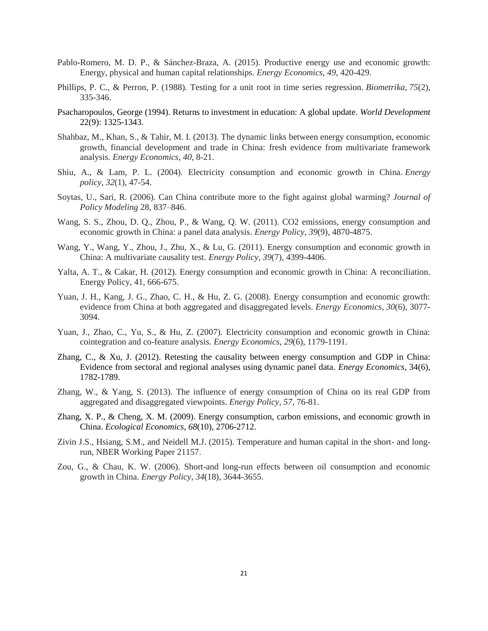- Pablo-Romero, M. D. P., & Sánchez-Braza, A. (2015). Productive energy use and economic growth: Energy, physical and human capital relationships. *Energy Economics*, *49*, 420-429.
- Phillips, P. C., & Perron, P. (1988). Testing for a unit root in time series regression. *Biometrika*, *75*(2), 335-346.
- Psacharopoulos, George (1994). Returns to investment in education: A global update. *World Development* 22(9): 1325-1343.
- Shahbaz, M., Khan, S., & Tahir, M. I. (2013). The dynamic links between energy consumption, economic growth, financial development and trade in China: fresh evidence from multivariate framework analysis. *Energy Economics*, *40*, 8-21.
- Shiu, A., & Lam, P. L. (2004). Electricity consumption and economic growth in China. *Energy policy*, *32*(1), 47-54.
- Soytas, U., Sari, R. (2006). Can China contribute more to the fight against global warming? *Journal of Policy Modeling* 28, 837–846.
- Wang, S. S., Zhou, D. Q., Zhou, P., & Wang, Q. W. (2011). CO2 emissions, energy consumption and economic growth in China: a panel data analysis. *Energy Policy*, *39*(9), 4870-4875.
- Wang, Y., Wang, Y., Zhou, J., Zhu, X., & Lu, G. (2011). Energy consumption and economic growth in China: A multivariate causality test. *Energy Policy*, *39*(7), 4399-4406.
- Yalta, A. T., & Cakar, H. (2012). Energy consumption and economic growth in China: A reconciliation. Energy Policy, 41, 666-675.
- Yuan, J. H., Kang, J. G., Zhao, C. H., & Hu, Z. G. (2008). Energy consumption and economic growth: evidence from China at both aggregated and disaggregated levels. *Energy Economics*, *30*(6), 3077- 3094.
- Yuan, J., Zhao, C., Yu, S., & Hu, Z. (2007). Electricity consumption and economic growth in China: cointegration and co-feature analysis. *Energy Economics*, *29*(6), 1179-1191.
- Zhang, C., & Xu, J. (2012). Retesting the causality between energy consumption and GDP in China: Evidence from sectoral and regional analyses using dynamic panel data. *Energy Economics*, 34(6), 1782-1789.
- Zhang, W., & Yang, S. (2013). The influence of energy consumption of China on its real GDP from aggregated and disaggregated viewpoints. *Energy Policy*, *57*, 76-81.
- Zhang, X. P., & Cheng, X. M. (2009). Energy consumption, carbon emissions, and economic growth in China. *Ecological Economics*, *68*(10), 2706-2712.
- Zivin J.S., Hsiang, S.M., and Neidell M.J. (2015). Temperature and human capital in the short- and longrun, NBER Working Paper 21157.
- Zou, G., & Chau, K. W. (2006). Short-and long-run effects between oil consumption and economic growth in China. *Energy Policy*, *34*(18), 3644-3655.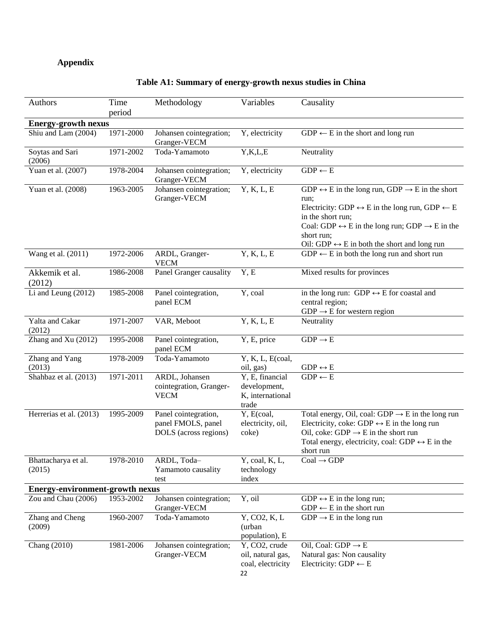# **Appendix**

# **Table A1: Summary of energy-growth nexus studies in China**

| Authors                                | Time<br>period | Methodology                                                         | Variables                                                     | Causality                                                                                                                                                                                                                                                                                                                                    |
|----------------------------------------|----------------|---------------------------------------------------------------------|---------------------------------------------------------------|----------------------------------------------------------------------------------------------------------------------------------------------------------------------------------------------------------------------------------------------------------------------------------------------------------------------------------------------|
| <b>Energy-growth nexus</b>             |                |                                                                     |                                                               |                                                                                                                                                                                                                                                                                                                                              |
| Shiu and Lam (2004)                    | 1971-2000      | Johansen cointegration;<br>Granger-VECM                             | Y, electricity                                                | $GDP \leftarrow E$ in the short and long run                                                                                                                                                                                                                                                                                                 |
| Soytas and Sari<br>(2006)              | 1971-2002      | Toda-Yamamoto                                                       | Y,K,L,E                                                       | Neutrality                                                                                                                                                                                                                                                                                                                                   |
| Yuan et al. (2007)                     | 1978-2004      | Johansen cointegration;<br>Granger-VECM                             | Y, electricity                                                | $GDP \leftarrow E$                                                                                                                                                                                                                                                                                                                           |
| Yuan et al. (2008)                     | 1963-2005      | Johansen cointegration;<br>Granger-VECM                             | Y, K, L, E                                                    | $GDP \leftrightarrow E$ in the long run, $GDP \rightarrow E$ in the short<br>run;<br>Electricity: GDP $\leftrightarrow$ E in the long run, GDP $\leftarrow$ E<br>in the short run;<br>Coal: GDP $\leftrightarrow$ E in the long run; GDP $\rightarrow$ E in the<br>short run;<br>Oil: GDP $\leftrightarrow$ E in both the short and long run |
| Wang et al. (2011)                     | 1972-2006      | ARDL, Granger-<br><b>VECM</b>                                       | Y, K, L, E                                                    | $GDP \leftarrow E$ in both the long run and short run                                                                                                                                                                                                                                                                                        |
| Akkemik et al.<br>(2012)               | 1986-2008      | Panel Granger causality                                             | Y, E                                                          | Mixed results for provinces                                                                                                                                                                                                                                                                                                                  |
| Li and Leung (2012)                    | 1985-2008      | Panel cointegration,<br>panel ECM                                   | Y, coal                                                       | in the long run: GDP $\leftrightarrow$ E for coastal and<br>central region;<br>$GDP \rightarrow E$ for western region                                                                                                                                                                                                                        |
| Yalta and Cakar<br>(2012)              | 1971-2007      | VAR, Meboot                                                         | Y, K, L, E                                                    | Neutrality                                                                                                                                                                                                                                                                                                                                   |
| Zhang and Xu (2012)                    | 1995-2008      | Panel cointegration,<br>panel ECM                                   | Y, E, price                                                   | $GDP \rightarrow E$                                                                                                                                                                                                                                                                                                                          |
| Zhang and Yang<br>(2013)               | 1978-2009      | Toda-Yamamoto                                                       | $\overline{Y}$ , K, L, E(coal,<br>oil, gas)                   | $\mathrm{GDP} \leftrightarrow \mathrm{E}$                                                                                                                                                                                                                                                                                                    |
| Shahbaz et al. (2013)                  | 1971-2011      | ARDL, Johansen<br>cointegration, Granger-<br><b>VECM</b>            | Y, E, financial<br>development,<br>K, international<br>trade  | $GDP \leftarrow E$                                                                                                                                                                                                                                                                                                                           |
| Herrerias et al. (2013)                | 1995-2009      | Panel cointegration,<br>panel FMOLS, panel<br>DOLS (across regions) | Y, E(coal,<br>electricity, oil,<br>coke)                      | Total energy, Oil, coal: GDP $\rightarrow$ E in the long run<br>Electricity, coke: GDP $\leftrightarrow$ E in the long run<br>Oil, coke: $GDP \rightarrow E$ in the short run<br>Total energy, electricity, coal: GDP $\leftrightarrow$ E in the<br>short run                                                                                |
| Bhattacharya et al.<br>(2015)          | 1978-2010      | ARDL, Toda-<br>Yamamoto causality<br>test                           | Y, coal, K, L,<br>technology<br>index                         | $Coal \rightarrow GDP$                                                                                                                                                                                                                                                                                                                       |
| <b>Energy-environment-growth nexus</b> |                |                                                                     |                                                               |                                                                                                                                                                                                                                                                                                                                              |
| Zou and Chau (2006)                    | 1953-2002      | Johansen cointegration;<br>Granger-VECM                             | Y, oil                                                        | GDP $\leftrightarrow$ E in the long run;<br>$GDP \leftarrow E$ in the short run                                                                                                                                                                                                                                                              |
| Zhang and Cheng<br>(2009)              | 1960-2007      | Toda-Yamamoto                                                       | Y, CO2, K, L<br>(urban<br>population), E                      | $GDP \rightarrow E$ in the long run                                                                                                                                                                                                                                                                                                          |
| Chang (2010)                           | 1981-2006      | Johansen cointegration;<br>Granger-VECM                             | Y, CO2, crude<br>oil, natural gas,<br>coal, electricity<br>22 | Oil, Coal: $GDP \rightarrow E$<br>Natural gas: Non causality<br>Electricity: GDP $\leftarrow$ E                                                                                                                                                                                                                                              |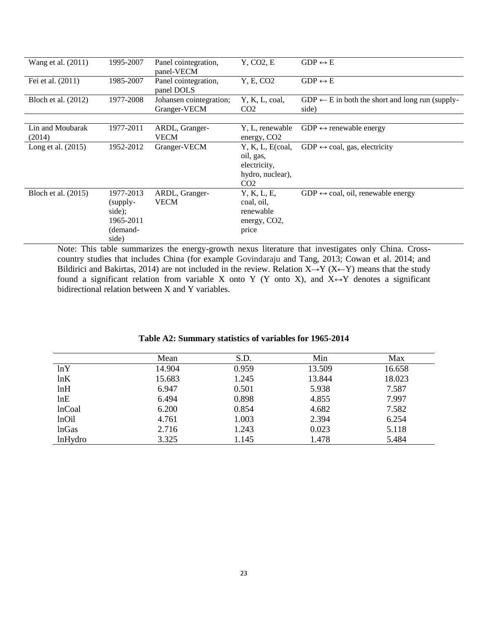| Wang et al. (2011)         | 1995-2007                                                         | Panel cointegration,<br>panel-VECM      | Y, CO2, E                                                                           | $GDP \leftrightarrow E$                                             |
|----------------------------|-------------------------------------------------------------------|-----------------------------------------|-------------------------------------------------------------------------------------|---------------------------------------------------------------------|
| Fei et al. (2011)          | 1985-2007                                                         | Panel cointegration,<br>panel DOLS      | Y, E, CO <sub>2</sub>                                                               | $GDP \leftrightarrow E$                                             |
| Bloch et al. (2012)        | 1977-2008                                                         | Johansen cointegration;<br>Granger-VECM | Y, K, L, coal,<br>CO <sub>2</sub>                                                   | $GDP \leftarrow E$ in both the short and long run (supply-<br>side) |
|                            |                                                                   |                                         |                                                                                     |                                                                     |
| Lin and Moubarak<br>(2014) | 1977-2011                                                         | ARDL, Granger-<br><b>VECM</b>           | Y, L, renewable<br>energy, CO <sub>2</sub>                                          | $GDP \leftrightarrow$ renewable energy                              |
| Long et al. $(2015)$       | 1952-2012                                                         | Granger-VECM                            | Y, K, L, E(coa,<br>oil, gas,<br>electricity,<br>hydro, nuclear),<br>CO <sub>2</sub> | $GDP \leftrightarrow coal, gas, electricity$                        |
| Bloch et al. (2015)        | 1977-2013<br>(supply-<br>side);<br>1965-2011<br>(demand-<br>side) | ARDL, Granger-<br><b>VECM</b>           | Y, K, L, E,<br>coal, oil,<br>renewable<br>energy, CO <sub>2</sub> ,<br>price        | $GDP \leftrightarrow coal$ , oil, renewable energy                  |

Note: This table summarizes the energy-growth nexus literature that investigates only China. Crosscountry studies that includes China (for example Govindaraju and Tang, 2013; Cowan et al. 2014; and Bildirici and Bakirtas, 2014) are not included in the review. Relation  $X \rightarrow Y (X \leftarrow Y)$  means that the study found a significant relation from variable X onto Y (Y onto X), and  $X \leftrightarrow Y$  denotes a significant bidirectional relation between X and Y variables.

|               | Mean   | S.D.  | Min    | Max    |
|---------------|--------|-------|--------|--------|
| lnY           | 14.904 | 0.959 | 13.509 | 16.658 |
| lnK           | 15.683 | 1.245 | 13.844 | 18.023 |
| lnH           | 6.947  | 0.501 | 5.938  | 7.587  |
| lnE           | 6.494  | 0.898 | 4.855  | 7.997  |
| <b>lnCoal</b> | 6.200  | 0.854 | 4.682  | 7.582  |
| lnOil         | 4.761  | 1.003 | 2.394  | 6.254  |
| <b>lnGas</b>  | 2.716  | 1.243 | 0.023  | 5.118  |
| lnHydro       | 3.325  | 1.145 | 1.478  | 5.484  |

### **Table A2: Summary statistics of variables for 1965-2014**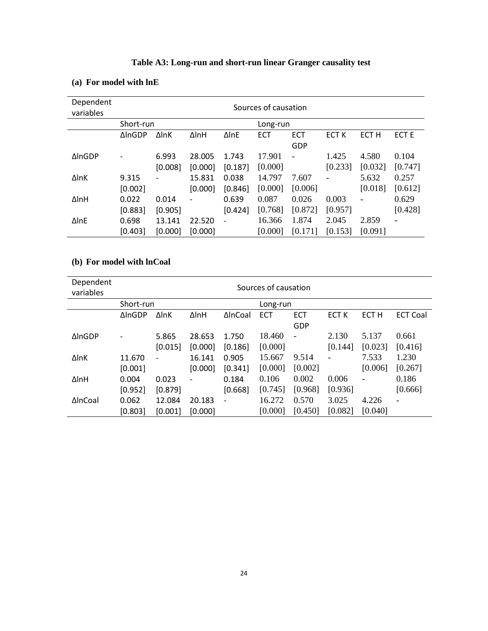| Dependent<br>variables |               | Sources of causation |                   |              |          |                          |                  |                  |                  |  |  |
|------------------------|---------------|----------------------|-------------------|--------------|----------|--------------------------|------------------|------------------|------------------|--|--|
|                        | Short-run     |                      |                   |              | Long-run |                          |                  |                  |                  |  |  |
|                        | <b>AInGDP</b> | <b>Δ</b> InΚ         | ∆lnH              | $\Delta$ InE | ECT      | <b>ECT</b>               | ECT <sub>K</sub> | ECT <sub>H</sub> | ECT <sub>E</sub> |  |  |
|                        |               |                      |                   |              |          | GDP                      |                  |                  |                  |  |  |
| <b>AlnGDP</b>          |               | 6.993                | 28.005            | 1.743        | 17.901   | $\overline{\phantom{a}}$ | 1.425            | 4.580            | 0.104            |  |  |
|                        |               | [0.008]              | [0.000]           | [0.187]      | [0.000]  |                          | [0.233]          | [0.032]          | [0.747]          |  |  |
| $\Delta$ InK           | 9.315         |                      | 15.831            | 0.038        | 14.797   | 7.607                    |                  | 5.632            | 0.257            |  |  |
|                        | [0.002]       |                      | [0.000]           | [0.846]      | [0.000]  | [0.006]                  |                  | [0.018]          | [0.612]          |  |  |
| $\Delta$ InH           | 0.022         | 0.014                | $\qquad \qquad -$ | 0.639        | 0.087    | 0.026                    | 0.003            |                  | 0.629            |  |  |
|                        | [0.883]       | [0.905]              |                   | [0.424]      | [0.768]  | [0.872]                  | [0.957]          |                  | [0.428]          |  |  |
| $\Delta$ InE           | 0.698         | 13.141               | 22.520            |              | 16.366   | 1.874                    | 2.045            | 2.859            |                  |  |  |
|                        | [0.403]       | [0.000]              | [0.000]           |              | [0.000]  | [0.171]                  | [0.153]          | [0.091]          |                  |  |  |

# **Table A3: Long-run and short-run linear Granger causality test**

# **(a) For model with lnE**

# **(b) For model with lnCoal**

| Dependent<br>variables |               | Sources of causation     |         |                              |          |                |              |                          |                          |  |  |
|------------------------|---------------|--------------------------|---------|------------------------------|----------|----------------|--------------|--------------------------|--------------------------|--|--|
|                        | Short-run     |                          |         |                              | Long-run |                |              |                          |                          |  |  |
|                        | <b>AInGDP</b> | $\Delta$ InK             | ∆lnH    | ∆InCoal                      | ECT      | ECT            | <b>ECT K</b> | ECT <sub>H</sub>         | <b>ECT Coal</b>          |  |  |
|                        |               |                          |         |                              |          | GDP            |              |                          |                          |  |  |
| <b>AInGDP</b>          |               | 5.865                    | 28.653  | 1.750                        | 18.460   | $\overline{a}$ | 2.130        | 5.137                    | 0.661                    |  |  |
|                        |               | [0.015]                  | [0.000] | [0.186]                      | [0.000]  |                | [0.144]      | [0.023]                  | [0.416]                  |  |  |
| $\Delta$ InK           | 11.670        | $\overline{\phantom{a}}$ | 16.141  | 0.905                        | 15.667   | 9.514          |              | 7.533                    | 1.230                    |  |  |
|                        | [0.001]       |                          | [0.000] | [0.341]                      | [0.000]  | [0.002]        |              | [0.006]                  | [0.267]                  |  |  |
| ∆InH                   | 0.004         | 0.023                    |         | 0.184                        | 0.106    | 0.002          | 0.006        | $\overline{\phantom{0}}$ | 0.186                    |  |  |
|                        | [0.952]       | [0.879]                  |         | [0.668]                      | [0.745]  | [0.968]        | [0.936]      |                          | [0.666]                  |  |  |
| ∆InCoal                | 0.062         | 12.084                   | 20.183  | $\qquad \qquad \blacksquare$ | 16.272   | 0.570          | 3.025        | 4.226                    | $\overline{\phantom{a}}$ |  |  |
|                        | [0.803]       | [0.001]                  | [0.000] |                              | [0.000]  | [0.450]        | [0.082]      | [0.040]                  |                          |  |  |